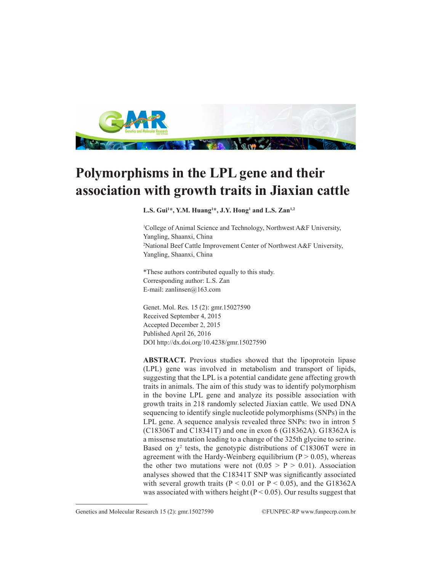

## **Polymorphisms in the LPL gene and their association with growth traits in Jiaxian cattle**

**L.S. Gui1 \*, Y.M. Huang1 \*, J.Y. Hong1 and L.S. Zan1,2**

1 College of Animal Science and Technology, Northwest A&F University, Yangling, Shaanxi, China 2 National Beef Cattle Improvement Center of Northwest A&F University, Yangling, Shaanxi, China

\*These authors contributed equally to this study. Corresponding author: L.S. Zan E-mail: zanlinsen@163.com

Genet. Mol. Res. 15 (2): gmr.15027590 Received September 4, 2015 Accepted December 2, 2015 Published April 26, 2016 DOI http://dx.doi.org/10.4238/gmr.15027590

**ABSTRACT.** Previous studies showed that the lipoprotein lipase (LPL) gene was involved in metabolism and transport of lipids, suggesting that the LPL is a potential candidate gene affecting growth traits in animals. The aim of this study was to identify polymorphism in the bovine LPL gene and analyze its possible association with growth traits in 218 randomly selected Jiaxian cattle. We used DNA sequencing to identify single nucleotide polymorphisms (SNPs) in the LPL gene. A sequence analysis revealed three SNPs: two in intron 5 (C18306T and C18341T) and one in exon 6 (G18362A). G18362A is a missense mutation leading to a change of the 325th glycine to serine. Based on  $\chi^2$  tests, the genotypic distributions of C18306T were in agreement with the Hardy-Weinberg equilibrium  $(P > 0.05)$ , whereas the other two mutations were not  $(0.05 > P > 0.01)$ . Association analyses showed that the C18341T SNP was significantly associated with several growth traits ( $P < 0.01$  or  $P < 0.05$ ), and the G18362A was associated with withers height ( $P < 0.05$ ). Our results suggest that

Genetics and Molecular Research 15 (2): gmr.15027590 ©FUNPEC-RP www.funpecrp.com.br